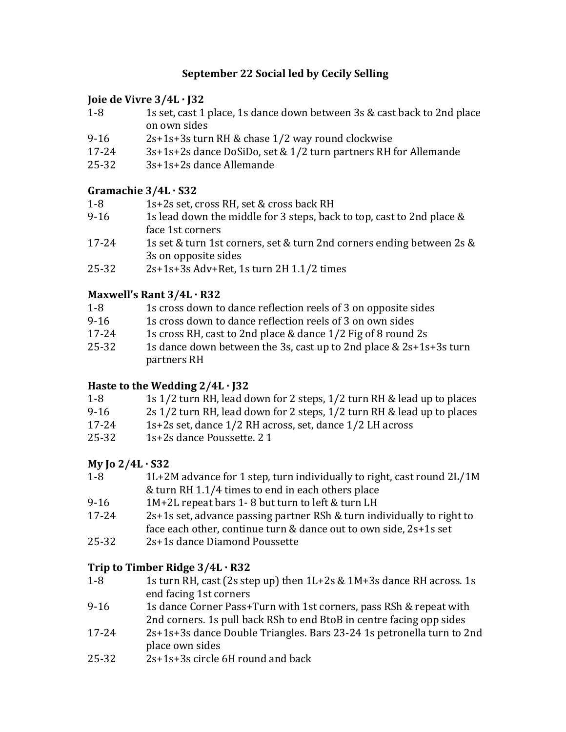# **September 22 Social led by Cecily Selling**

## **Joie de Vivre 3/4L · J32**

- 1-8 1s set, cast 1 place, 1s dance down between 3s & cast back to 2nd place on own sides
- 9-16  $2s+1s+3s$  turn RH & chase  $1/2$  way round clockwise
- 17-24 3s+1s+2s dance DoSiDo, set & 1/2 turn partners RH for Allemande
- $25-32$   $3s+1s+2s$  dance Allemande

# **Gramachie 3/4L · S32**

- 1-8 1s+2s set, cross RH, set & cross back RH
- 9-16 1s lead down the middle for 3 steps, back to top, cast to 2nd place  $\&$ face 1st corners
- 17-24 1s set & turn 1st corners, set & turn 2nd corners ending between 2s & 3s on opposite sides
- $25-32$  2s+1s+3s Adv+Ret, 1s turn 2H 1.1/2 times

# **Maxwell's Rant 3/4L · R32**

- 1-8 1s cross down to dance reflection reels of 3 on opposite sides
- 9-16 1s cross down to dance reflection reels of 3 on own sides
- 17-24 1s cross RH, cast to 2nd place & dance  $1/2$  Fig of 8 round 2s
- $25-32$  1s dance down between the 3s, cast up to 2nd place &  $2s+1s+3s$  turn partners RH

# **Haste to the Wedding**  $2/4L \cdot J32$

| $1 - 8$ | 1s 1/2 turn RH, lead down for 2 steps, 1/2 turn RH & lead up to places |
|---------|------------------------------------------------------------------------|
| $9-16$  | 2s 1/2 turn RH, lead down for 2 steps, 1/2 turn RH & lead up to places |
| 17-24   | 1s+2s set, dance 1/2 RH across, set, dance 1/2 LH across               |
| 25-32   | 1s+2s dance Poussette. 2 1                                             |

# **My Jo 2/4L · S32**

- 1-8 1L+2M advance for 1 step, turn individually to right, cast round 2L/1M  $&$  turn RH 1.1/4 times to end in each others place
- 9-16 1M+2L repeat bars 1-8 but turn to left  $&$  turn LH
- $17-24$  2s+1s set, advance passing partner RSh & turn individually to right to face each other, continue turn  $&$  dance out to own side,  $2s+1s$  set
- 25-32 2s+1s dance Diamond Poussette

# **Trip to Timber Ridge 3/4L · R32**

- 1-8 1s turn RH, cast  $(2s \text{ step up})$  then  $1L+2s \& 1M+3s$  dance RH across. 1s end facing 1st corners
- 9-16 1s dance Corner Pass+Turn with 1st corners, pass RSh & repeat with 2nd corners. 1s pull back RSh to end BtoB in centre facing opp sides
- 17-24 2s+1s+3s dance Double Triangles. Bars 23-24 1s petronella turn to 2nd place own sides
- $25-32$   $2s+1s+3s$  circle 6H round and back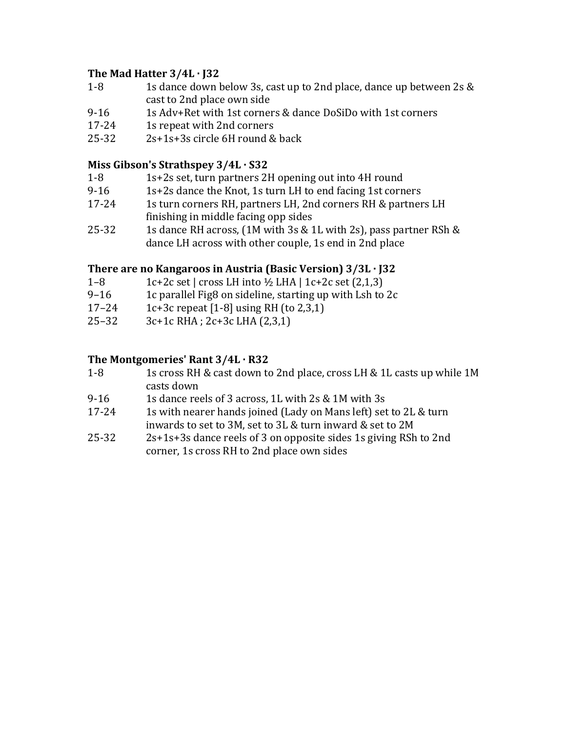# The Mad Hatter  $3/4L \cdot 132$

- 1-8 1s dance down below 3s, cast up to 2nd place, dance up between 2s & cast to 2nd place own side
- 9-16 1s Adv+Ret with 1st corners  $\&$  dance DoSiDo with 1st corners
- 17-24 1s repeat with 2nd corners
- $25-32$   $2s+1s+3s$  circle 6H round & back

## **Miss Gibson's Strathspey**  $3/4L \cdot S32$

- 1-8 1s+2s set, turn partners 2H opening out into 4H round
- 9-16  $1s+2s$  dance the Knot, 1s turn LH to end facing 1st corners
- 17-24 1s turn corners RH, partners LH, 2nd corners RH & partners LH finishing in middle facing opp sides
- 25-32 1s dance RH across,  $(1M \text{ with } 3s \& 1L \text{ with } 2s)$ , pass partner RSh & dance LH across with other couple, 1s end in 2nd place

# **There are no Kangaroos in Austria (Basic Version)**  $3/3L \cdot 32$

- 1–8 1c+2c set | cross LH into  $\frac{1}{2}$  LHA | 1c+2c set (2,1,3)
- 9–16 1c parallel Fig8 on sideline, starting up with Lsh to  $2c$
- 17–24 1c+3c repeat  $[1-8]$  using RH (to 2,3,1)
- $25-32$  3c+1c RHA ;  $2c+3c$  LHA  $(2,3,1)$

### The Montgomeries' Rant 3/4L · R32

- 1-8 1s cross RH & cast down to 2nd place, cross LH & 1L casts up while 1M casts down
- 9-16 1s dance reels of 3 across, 1L with  $2s \& 1M$  with  $3s$
- 17-24 1s with nearer hands joined (Lady on Mans left) set to 2L & turn inwards to set to 3M, set to 3L & turn inward & set to 2M
- $25-32$  2s+1s+3s dance reels of 3 on opposite sides 1s giving RSh to 2nd corner, 1s cross RH to 2nd place own sides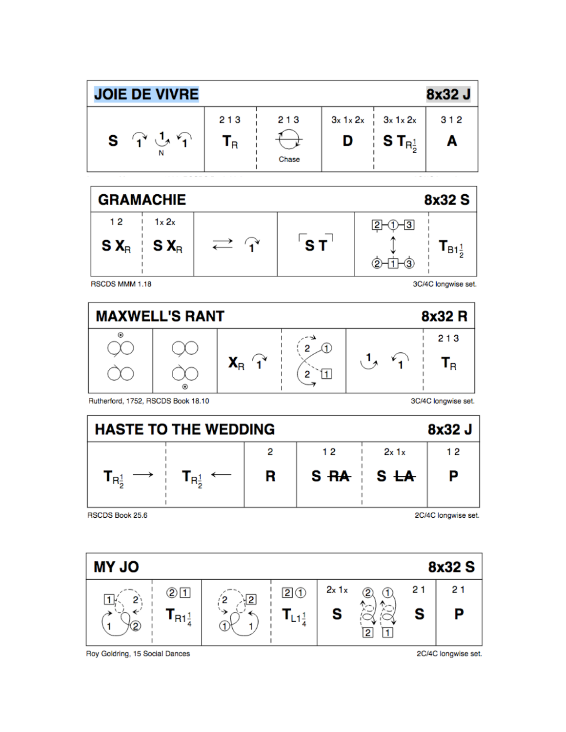



RSCDS MMM 1.18

3C/4C longwise set.



Rutherford, 1752, RSCDS Book 18.10

3C/4C longwise set.



RSCDS Book 25.6

2C/4C longwise set.



Roy Goldring, 15 Social Dances

2C/4C longwise set.